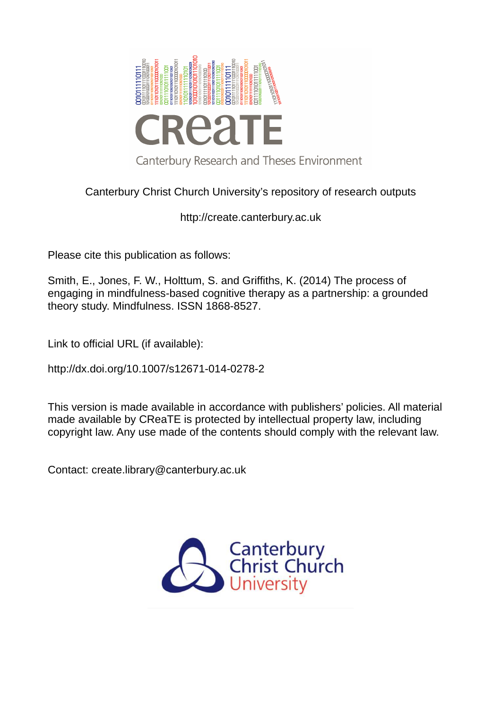

# Canterbury Christ Church University's repository of research outputs

# http://create.canterbury.ac.uk

Please cite this publication as follows:

Smith, E., Jones, F. W., Holttum, S. and Griffiths, K. (2014) The process of engaging in mindfulness-based cognitive therapy as a partnership: a grounded theory study. Mindfulness. ISSN 1868-8527.

Link to official URL (if available):

http://dx.doi.org/10.1007/s12671-014-0278-2

This version is made available in accordance with publishers' policies. All material made available by CReaTE is protected by intellectual property law, including copyright law. Any use made of the contents should comply with the relevant law.

Contact: create.library@canterbury.ac.uk

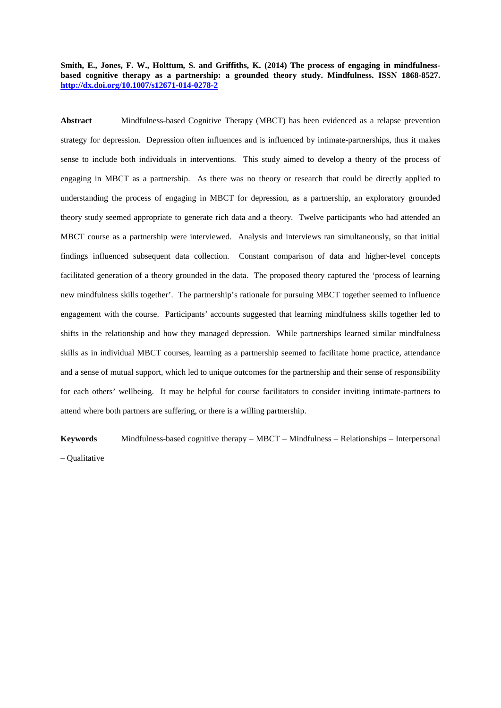**Smith, E., Jones, F. W., Holttum, S. and Griffiths, K. (2014) The process of engaging in mindfulnessbased cognitive therapy as a partnership: a grounded theory study. Mindfulness. ISSN 1868-8527. <http://dx.doi.org/10.1007/s12671-014-0278-2>**

**Abstract** Mindfulness-based Cognitive Therapy (MBCT) has been evidenced as a relapse prevention strategy for depression. Depression often influences and is influenced by intimate-partnerships, thus it makes sense to include both individuals in interventions. This study aimed to develop a theory of the process of engaging in MBCT as a partnership. As there was no theory or research that could be directly applied to understanding the process of engaging in MBCT for depression, as a partnership, an exploratory grounded theory study seemed appropriate to generate rich data and a theory. Twelve participants who had attended an MBCT course as a partnership were interviewed. Analysis and interviews ran simultaneously, so that initial findings influenced subsequent data collection. Constant comparison of data and higher-level concepts facilitated generation of a theory grounded in the data. The proposed theory captured the 'process of learning new mindfulness skills together'. The partnership's rationale for pursuing MBCT together seemed to influence engagement with the course. Participants' accounts suggested that learning mindfulness skills together led to shifts in the relationship and how they managed depression. While partnerships learned similar mindfulness skills as in individual MBCT courses, learning as a partnership seemed to facilitate home practice, attendance and a sense of mutual support, which led to unique outcomes for the partnership and their sense of responsibility for each others' wellbeing. It may be helpful for course facilitators to consider inviting intimate-partners to attend where both partners are suffering, or there is a willing partnership.

**Keywords** Mindfulness-based cognitive therapy – MBCT – Mindfulness – Relationships – Interpersonal – Qualitative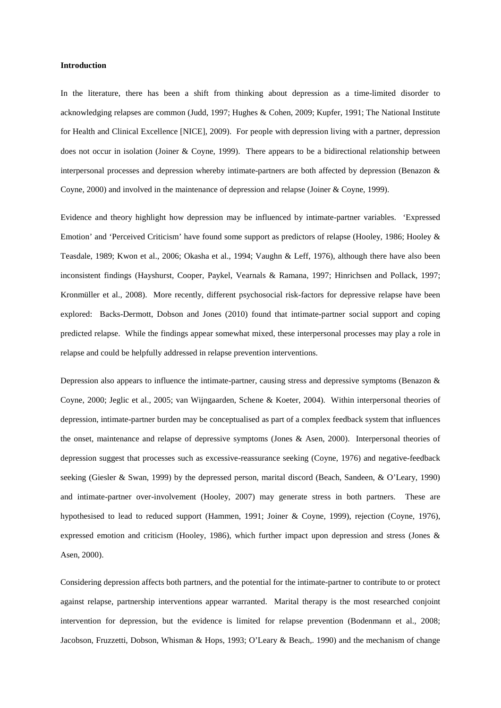#### **Introduction**

In the literature, there has been a shift from thinking about depression as a time-limited disorder to acknowledging relapses are common (Judd, 1997; Hughes & Cohen, 2009; Kupfer, 1991; The National Institute for Health and Clinical Excellence [NICE], 2009). For people with depression living with a partner, depression does not occur in isolation (Joiner & Coyne, 1999). There appears to be a bidirectional relationship between interpersonal processes and depression whereby intimate-partners are both affected by depression (Benazon & Coyne, 2000) and involved in the maintenance of depression and relapse (Joiner & Coyne, 1999).

Evidence and theory highlight how depression may be influenced by intimate-partner variables. 'Expressed Emotion' and 'Perceived Criticism' have found some support as predictors of relapse (Hooley, 1986; Hooley & Teasdale, 1989; Kwon et al., 2006; Okasha et al., 1994; Vaughn & Leff, 1976), although there have also been inconsistent findings (Hayshurst, Cooper, Paykel, Vearnals & Ramana, 1997; Hinrichsen and Pollack, 1997; Kronmüller et al., 2008). More recently, different psychosocial risk-factors for depressive relapse have been explored: Backs-Dermott, Dobson and Jones (2010) found that intimate-partner social support and coping predicted relapse. While the findings appear somewhat mixed, these interpersonal processes may play a role in relapse and could be helpfully addressed in relapse prevention interventions.

Depression also appears to influence the intimate-partner, causing stress and depressive symptoms (Benazon  $\&$ Coyne, 2000; Jeglic et al., 2005; van Wijngaarden, Schene & Koeter, 2004). Within interpersonal theories of depression, intimate-partner burden may be conceptualised as part of a complex feedback system that influences the onset, maintenance and relapse of depressive symptoms (Jones & Asen, 2000). Interpersonal theories of depression suggest that processes such as excessive-reassurance seeking (Coyne, 1976) and negative-feedback seeking (Giesler & Swan, 1999) by the depressed person, marital discord (Beach, Sandeen, & O'Leary, 1990) and intimate-partner over-involvement (Hooley, 2007) may generate stress in both partners. These are hypothesised to lead to reduced support (Hammen, 1991; Joiner & Coyne, 1999), rejection (Coyne, 1976), expressed emotion and criticism (Hooley, 1986), which further impact upon depression and stress (Jones & Asen, 2000).

Considering depression affects both partners, and the potential for the intimate-partner to contribute to or protect against relapse, partnership interventions appear warranted. Marital therapy is the most researched conjoint intervention for depression, but the evidence is limited for relapse prevention (Bodenmann et al., 2008; Jacobson, Fruzzetti, Dobson, Whisman & Hops, 1993; O'Leary & Beach,. 1990) and the mechanism of change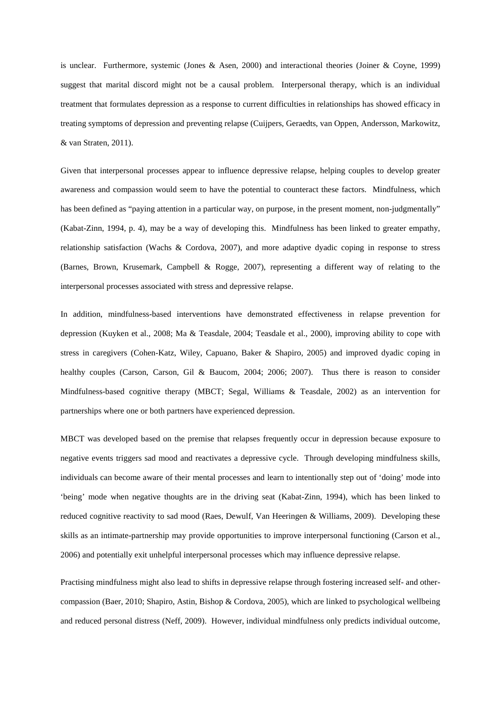is unclear. Furthermore, systemic (Jones & Asen, 2000) and interactional theories (Joiner & Coyne, 1999) suggest that marital discord might not be a causal problem. Interpersonal therapy, which is an individual treatment that formulates depression as a response to current difficulties in relationships has showed efficacy in treating symptoms of depression and preventing relapse (Cuijpers, Geraedts, van Oppen, Andersson, Markowitz, & van Straten, 2011).

Given that interpersonal processes appear to influence depressive relapse, helping couples to develop greater awareness and compassion would seem to have the potential to counteract these factors. Mindfulness, which has been defined as "paying attention in a particular way, on purpose, in the present moment, non-judgmentally" (Kabat-Zinn, 1994, p. 4), may be a way of developing this. Mindfulness has been linked to greater empathy, relationship satisfaction (Wachs & Cordova, 2007), and more adaptive dyadic coping in response to stress (Barnes, Brown, Krusemark, Campbell & Rogge, 2007), representing a different way of relating to the interpersonal processes associated with stress and depressive relapse.

In addition, mindfulness-based interventions have demonstrated effectiveness in relapse prevention for depression (Kuyken et al., 2008; Ma & Teasdale, 2004; Teasdale et al., 2000), improving ability to cope with stress in caregivers (Cohen-Katz, Wiley, Capuano, Baker & Shapiro, 2005) and improved dyadic coping in healthy couples (Carson, Carson, Gil & Baucom, 2004; 2006; 2007). Thus there is reason to consider Mindfulness-based cognitive therapy (MBCT; Segal, Williams & Teasdale, 2002) as an intervention for partnerships where one or both partners have experienced depression.

MBCT was developed based on the premise that relapses frequently occur in depression because exposure to negative events triggers sad mood and reactivates a depressive cycle. Through developing mindfulness skills, individuals can become aware of their mental processes and learn to intentionally step out of 'doing' mode into 'being' mode when negative thoughts are in the driving seat (Kabat-Zinn, 1994), which has been linked to reduced cognitive reactivity to sad mood (Raes, Dewulf, Van Heeringen & Williams, 2009). Developing these skills as an intimate-partnership may provide opportunities to improve interpersonal functioning (Carson et al., 2006) and potentially exit unhelpful interpersonal processes which may influence depressive relapse.

Practising mindfulness might also lead to shifts in depressive relapse through fostering increased self- and othercompassion (Baer, 2010; Shapiro, Astin, Bishop & Cordova, 2005), which are linked to psychological wellbeing and reduced personal distress (Neff, 2009). However, individual mindfulness only predicts individual outcome,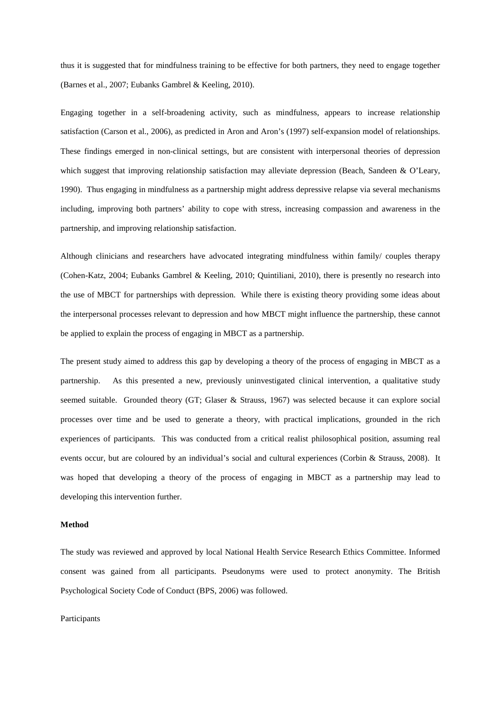thus it is suggested that for mindfulness training to be effective for both partners, they need to engage together (Barnes et al., 2007; Eubanks Gambrel & Keeling, 2010).

Engaging together in a self-broadening activity, such as mindfulness, appears to increase relationship satisfaction (Carson et al., 2006), as predicted in Aron and Aron's (1997) self-expansion model of relationships. These findings emerged in non-clinical settings, but are consistent with interpersonal theories of depression which suggest that improving relationship satisfaction may alleviate depression (Beach, Sandeen & O'Leary, 1990). Thus engaging in mindfulness as a partnership might address depressive relapse via several mechanisms including, improving both partners' ability to cope with stress, increasing compassion and awareness in the partnership, and improving relationship satisfaction.

Although clinicians and researchers have advocated integrating mindfulness within family/ couples therapy (Cohen-Katz, 2004; Eubanks Gambrel & Keeling, 2010; Quintiliani, 2010), there is presently no research into the use of MBCT for partnerships with depression. While there is existing theory providing some ideas about the interpersonal processes relevant to depression and how MBCT might influence the partnership, these cannot be applied to explain the process of engaging in MBCT as a partnership.

The present study aimed to address this gap by developing a theory of the process of engaging in MBCT as a partnership. As this presented a new, previously uninvestigated clinical intervention, a qualitative study seemed suitable. Grounded theory (GT; Glaser & Strauss, 1967) was selected because it can explore social processes over time and be used to generate a theory, with practical implications, grounded in the rich experiences of participants. This was conducted from a critical realist philosophical position, assuming real events occur, but are coloured by an individual's social and cultural experiences (Corbin & Strauss, 2008). It was hoped that developing a theory of the process of engaging in MBCT as a partnership may lead to developing this intervention further.

#### **Method**

The study was reviewed and approved by local National Health Service Research Ethics Committee. Informed consent was gained from all participants. Pseudonyms were used to protect anonymity. The British Psychological Society Code of Conduct (BPS, 2006) was followed.

Participants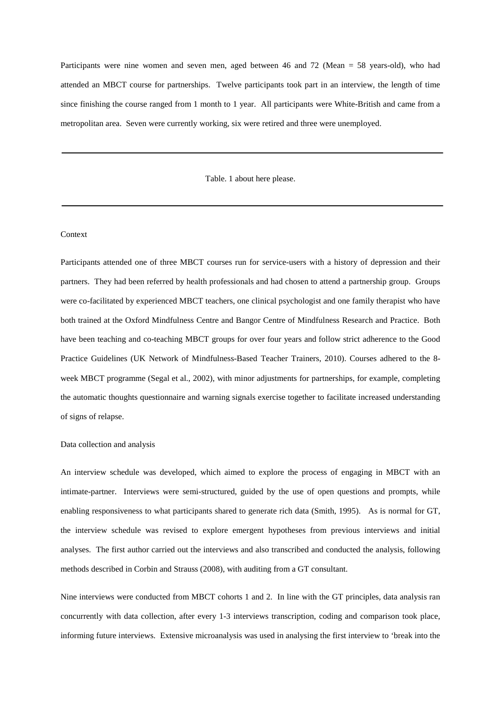Participants were nine women and seven men, aged between 46 and 72 (Mean = 58 years-old), who had attended an MBCT course for partnerships. Twelve participants took part in an interview, the length of time since finishing the course ranged from 1 month to 1 year. All participants were White-British and came from a metropolitan area. Seven were currently working, six were retired and three were unemployed.

Table. 1 about here please.

# Context

Participants attended one of three MBCT courses run for service-users with a history of depression and their partners. They had been referred by health professionals and had chosen to attend a partnership group. Groups were co-facilitated by experienced MBCT teachers, one clinical psychologist and one family therapist who have both trained at the Oxford Mindfulness Centre and Bangor Centre of Mindfulness Research and Practice. Both have been teaching and co-teaching MBCT groups for over four years and follow strict adherence to the Good Practice Guidelines (UK Network of Mindfulness-Based Teacher Trainers, 2010). Courses adhered to the 8 week MBCT programme (Segal et al., 2002), with minor adjustments for partnerships, for example, completing the automatic thoughts questionnaire and warning signals exercise together to facilitate increased understanding of signs of relapse.

### Data collection and analysis

An interview schedule was developed, which aimed to explore the process of engaging in MBCT with an intimate-partner. Interviews were semi-structured, guided by the use of open questions and prompts, while enabling responsiveness to what participants shared to generate rich data (Smith, 1995). As is normal for GT, the interview schedule was revised to explore emergent hypotheses from previous interviews and initial analyses. The first author carried out the interviews and also transcribed and conducted the analysis, following methods described in Corbin and Strauss (2008), with auditing from a GT consultant.

Nine interviews were conducted from MBCT cohorts 1 and 2. In line with the GT principles, data analysis ran concurrently with data collection, after every 1-3 interviews transcription, coding and comparison took place, informing future interviews. Extensive microanalysis was used in analysing the first interview to 'break into the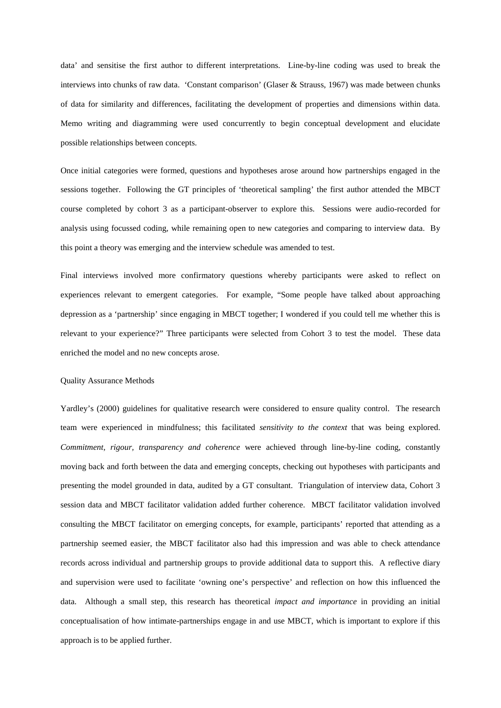data' and sensitise the first author to different interpretations. Line-by-line coding was used to break the interviews into chunks of raw data. 'Constant comparison' (Glaser & Strauss, 1967) was made between chunks of data for similarity and differences, facilitating the development of properties and dimensions within data. Memo writing and diagramming were used concurrently to begin conceptual development and elucidate possible relationships between concepts.

Once initial categories were formed, questions and hypotheses arose around how partnerships engaged in the sessions together. Following the GT principles of 'theoretical sampling' the first author attended the MBCT course completed by cohort 3 as a participant-observer to explore this. Sessions were audio-recorded for analysis using focussed coding, while remaining open to new categories and comparing to interview data. By this point a theory was emerging and the interview schedule was amended to test.

Final interviews involved more confirmatory questions whereby participants were asked to reflect on experiences relevant to emergent categories. For example, "Some people have talked about approaching depression as a 'partnership' since engaging in MBCT together; I wondered if you could tell me whether this is relevant to your experience?" Three participants were selected from Cohort 3 to test the model. These data enriched the model and no new concepts arose.

#### Quality Assurance Methods

Yardley's (2000) guidelines for qualitative research were considered to ensure quality control. The research team were experienced in mindfulness; this facilitated *sensitivity to the context* that was being explored. *Commitment, rigour, transparency and coherence* were achieved through line-by-line coding, constantly moving back and forth between the data and emerging concepts, checking out hypotheses with participants and presenting the model grounded in data, audited by a GT consultant. Triangulation of interview data, Cohort 3 session data and MBCT facilitator validation added further coherence. MBCT facilitator validation involved consulting the MBCT facilitator on emerging concepts, for example, participants' reported that attending as a partnership seemed easier, the MBCT facilitator also had this impression and was able to check attendance records across individual and partnership groups to provide additional data to support this. A reflective diary and supervision were used to facilitate 'owning one's perspective' and reflection on how this influenced the data. Although a small step, this research has theoretical *impact and importance* in providing an initial conceptualisation of how intimate-partnerships engage in and use MBCT, which is important to explore if this approach is to be applied further.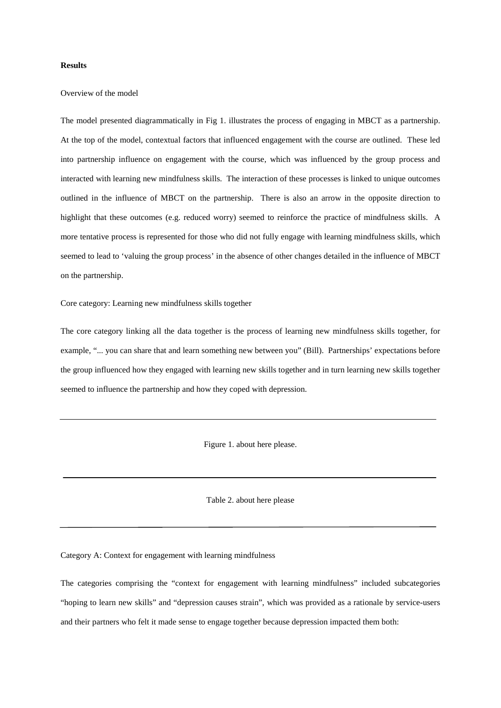#### **Results**

### Overview of the model

The model presented diagrammatically in Fig 1. illustrates the process of engaging in MBCT as a partnership. At the top of the model, contextual factors that influenced engagement with the course are outlined. These led into partnership influence on engagement with the course, which was influenced by the group process and interacted with learning new mindfulness skills. The interaction of these processes is linked to unique outcomes outlined in the influence of MBCT on the partnership. There is also an arrow in the opposite direction to highlight that these outcomes (e.g. reduced worry) seemed to reinforce the practice of mindfulness skills. A more tentative process is represented for those who did not fully engage with learning mindfulness skills, which seemed to lead to 'valuing the group process' in the absence of other changes detailed in the influence of MBCT on the partnership.

Core category: Learning new mindfulness skills together

The core category linking all the data together is the process of learning new mindfulness skills together, for example, "... you can share that and learn something new between you" (Bill). Partnerships' expectations before the group influenced how they engaged with learning new skills together and in turn learning new skills together seemed to influence the partnership and how they coped with depression.

Figure 1. about here please.

Table 2. about here please

Category A: Context for engagement with learning mindfulness

The categories comprising the "context for engagement with learning mindfulness" included subcategories "hoping to learn new skills" and "depression causes strain", which was provided as a rationale by service-users and their partners who felt it made sense to engage together because depression impacted them both: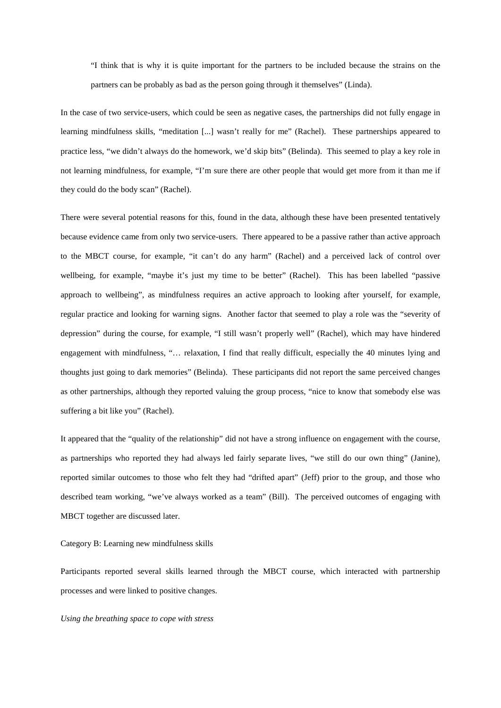"I think that is why it is quite important for the partners to be included because the strains on the partners can be probably as bad as the person going through it themselves" (Linda).

In the case of two service-users, which could be seen as negative cases, the partnerships did not fully engage in learning mindfulness skills, "meditation [...] wasn't really for me" (Rachel). These partnerships appeared to practice less, "we didn't always do the homework, we'd skip bits" (Belinda). This seemed to play a key role in not learning mindfulness, for example, "I'm sure there are other people that would get more from it than me if they could do the body scan" (Rachel).

There were several potential reasons for this, found in the data, although these have been presented tentatively because evidence came from only two service-users. There appeared to be a passive rather than active approach to the MBCT course, for example, "it can't do any harm" (Rachel) and a perceived lack of control over wellbeing, for example, "maybe it's just my time to be better" (Rachel). This has been labelled "passive approach to wellbeing", as mindfulness requires an active approach to looking after yourself, for example, regular practice and looking for warning signs. Another factor that seemed to play a role was the "severity of depression" during the course, for example, "I still wasn't properly well" (Rachel), which may have hindered engagement with mindfulness, "… relaxation, I find that really difficult, especially the 40 minutes lying and thoughts just going to dark memories" (Belinda). These participants did not report the same perceived changes as other partnerships, although they reported valuing the group process, "nice to know that somebody else was suffering a bit like you" (Rachel).

It appeared that the "quality of the relationship" did not have a strong influence on engagement with the course, as partnerships who reported they had always led fairly separate lives, "we still do our own thing" (Janine), reported similar outcomes to those who felt they had "drifted apart" (Jeff) prior to the group, and those who described team working, "we've always worked as a team" (Bill). The perceived outcomes of engaging with MBCT together are discussed later.

Category B: Learning new mindfulness skills

Participants reported several skills learned through the MBCT course, which interacted with partnership processes and were linked to positive changes.

*Using the breathing space to cope with stress*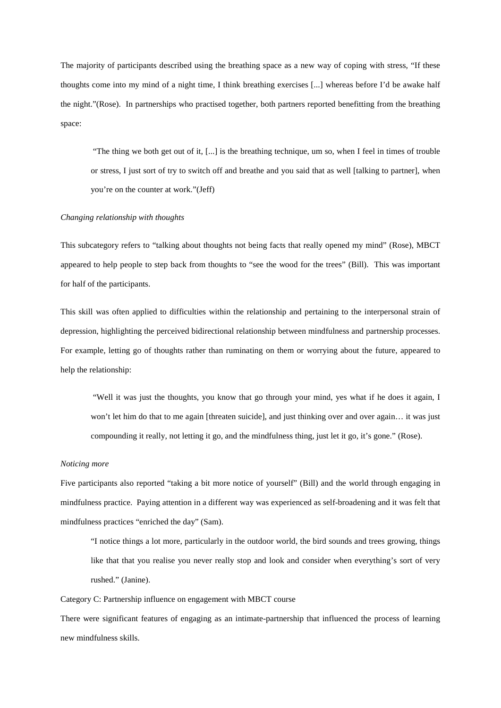The majority of participants described using the breathing space as a new way of coping with stress, "If these thoughts come into my mind of a night time, I think breathing exercises [...] whereas before I'd be awake half the night."(Rose). In partnerships who practised together, both partners reported benefitting from the breathing space:

"The thing we both get out of it,  $[...]$  is the breathing technique, um so, when I feel in times of trouble or stress, I just sort of try to switch off and breathe and you said that as well [talking to partner], when you're on the counter at work."(Jeff)

# *Changing relationship with thoughts*

This subcategory refers to "talking about thoughts not being facts that really opened my mind" (Rose), MBCT appeared to help people to step back from thoughts to "see the wood for the trees" (Bill). This was important for half of the participants.

This skill was often applied to difficulties within the relationship and pertaining to the interpersonal strain of depression, highlighting the perceived bidirectional relationship between mindfulness and partnership processes. For example, letting go of thoughts rather than ruminating on them or worrying about the future, appeared to help the relationship:

"Well it was just the thoughts, you know that go through your mind, yes what if he does it again, I won't let him do that to me again [threaten suicide], and just thinking over and over again... it was just compounding it really, not letting it go, and the mindfulness thing, just let it go, it's gone." (Rose).

### *Noticing more*

Five participants also reported "taking a bit more notice of yourself" (Bill) and the world through engaging in mindfulness practice. Paying attention in a different way was experienced as self-broadening and it was felt that mindfulness practices "enriched the day" (Sam).

"I notice things a lot more, particularly in the outdoor world, the bird sounds and trees growing, things like that that you realise you never really stop and look and consider when everything's sort of very rushed." (Janine).

Category C: Partnership influence on engagement with MBCT course

There were significant features of engaging as an intimate-partnership that influenced the process of learning new mindfulness skills.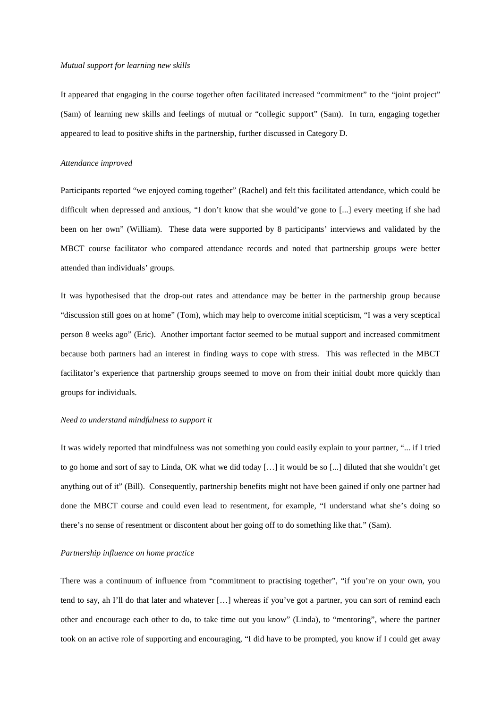#### *Mutual support for learning new skills*

It appeared that engaging in the course together often facilitated increased "commitment" to the "joint project" (Sam) of learning new skills and feelings of mutual or "collegic support" (Sam). In turn, engaging together appeared to lead to positive shifts in the partnership, further discussed in Category D.

# *Attendance improved*

Participants reported "we enjoyed coming together" (Rachel) and felt this facilitated attendance, which could be difficult when depressed and anxious, "I don't know that she would've gone to [...] every meeting if she had been on her own" (William). These data were supported by 8 participants' interviews and validated by the MBCT course facilitator who compared attendance records and noted that partnership groups were better attended than individuals' groups.

It was hypothesised that the drop-out rates and attendance may be better in the partnership group because "discussion still goes on at home" (Tom), which may help to overcome initial scepticism, "I was a very sceptical person 8 weeks ago" (Eric). Another important factor seemed to be mutual support and increased commitment because both partners had an interest in finding ways to cope with stress. This was reflected in the MBCT facilitator's experience that partnership groups seemed to move on from their initial doubt more quickly than groups for individuals.

### *Need to understand mindfulness to support it*

It was widely reported that mindfulness was not something you could easily explain to your partner, "... if I tried to go home and sort of say to Linda, OK what we did today […] it would be so [...] diluted that she wouldn't get anything out of it" (Bill). Consequently, partnership benefits might not have been gained if only one partner had done the MBCT course and could even lead to resentment, for example, "I understand what she's doing so there's no sense of resentment or discontent about her going off to do something like that." (Sam).

#### *Partnership influence on home practice*

There was a continuum of influence from "commitment to practising together", "if you're on your own, you tend to say, ah I'll do that later and whatever […] whereas if you've got a partner, you can sort of remind each other and encourage each other to do, to take time out you know" (Linda), to "mentoring", where the partner took on an active role of supporting and encouraging, "I did have to be prompted, you know if I could get away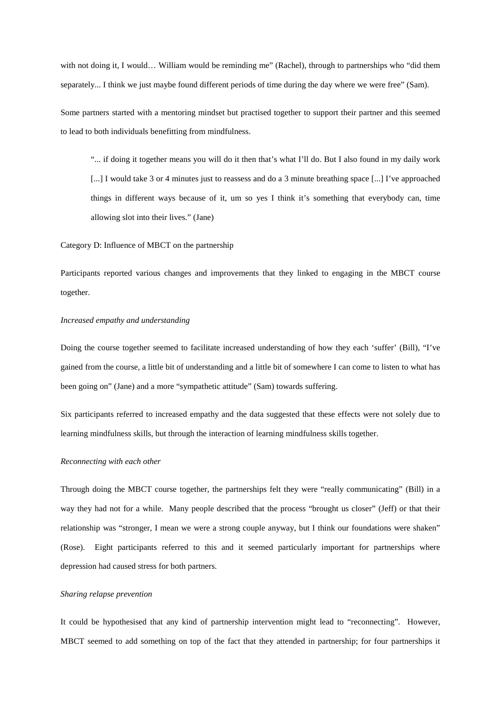with not doing it, I would... William would be reminding me" (Rachel), through to partnerships who "did them separately... I think we just maybe found different periods of time during the day where we were free" (Sam).

Some partners started with a mentoring mindset but practised together to support their partner and this seemed to lead to both individuals benefitting from mindfulness.

"... if doing it together means you will do it then that's what I'll do. But I also found in my daily work [...] I would take 3 or 4 minutes just to reassess and do a 3 minute breathing space [...] I've approached things in different ways because of it, um so yes I think it's something that everybody can, time allowing slot into their lives." (Jane)

Category D: Influence of MBCT on the partnership

Participants reported various changes and improvements that they linked to engaging in the MBCT course together.

#### *Increased empathy and understanding*

Doing the course together seemed to facilitate increased understanding of how they each 'suffer' (Bill), "I've gained from the course, a little bit of understanding and a little bit of somewhere I can come to listen to what has been going on" (Jane) and a more "sympathetic attitude" (Sam) towards suffering.

Six participants referred to increased empathy and the data suggested that these effects were not solely due to learning mindfulness skills, but through the interaction of learning mindfulness skills together.

#### *Reconnecting with each other*

Through doing the MBCT course together, the partnerships felt they were "really communicating" (Bill) in a way they had not for a while. Many people described that the process "brought us closer" (Jeff) or that their relationship was "stronger, I mean we were a strong couple anyway, but I think our foundations were shaken" (Rose). Eight participants referred to this and it seemed particularly important for partnerships where depression had caused stress for both partners.

# *Sharing relapse prevention*

It could be hypothesised that any kind of partnership intervention might lead to "reconnecting". However, MBCT seemed to add something on top of the fact that they attended in partnership; for four partnerships it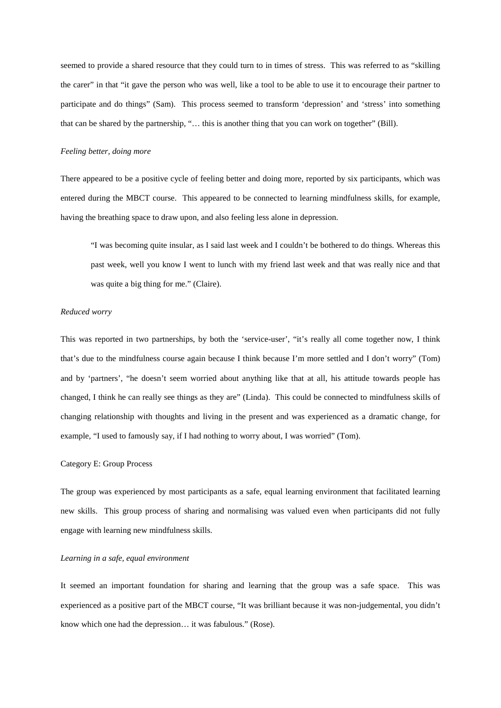seemed to provide a shared resource that they could turn to in times of stress. This was referred to as "skilling the carer" in that "it gave the person who was well, like a tool to be able to use it to encourage their partner to participate and do things" (Sam). This process seemed to transform 'depression' and 'stress' into something that can be shared by the partnership, "… this is another thing that you can work on together" (Bill).

# *Feeling better, doing more*

There appeared to be a positive cycle of feeling better and doing more, reported by six participants, which was entered during the MBCT course. This appeared to be connected to learning mindfulness skills, for example, having the breathing space to draw upon, and also feeling less alone in depression.

"I was becoming quite insular, as I said last week and I couldn't be bothered to do things. Whereas this past week, well you know I went to lunch with my friend last week and that was really nice and that was quite a big thing for me." (Claire).

#### *Reduced worry*

This was reported in two partnerships, by both the 'service-user', "it's really all come together now, I think that's due to the mindfulness course again because I think because I'm more settled and I don't worry" (Tom) and by 'partners', "he doesn't seem worried about anything like that at all, his attitude towards people has changed, I think he can really see things as they are" (Linda). This could be connected to mindfulness skills of changing relationship with thoughts and living in the present and was experienced as a dramatic change, for example, "I used to famously say, if I had nothing to worry about, I was worried" (Tom).

### Category E: Group Process

The group was experienced by most participants as a safe, equal learning environment that facilitated learning new skills. This group process of sharing and normalising was valued even when participants did not fully engage with learning new mindfulness skills.

#### *Learning in a safe, equal environment*

It seemed an important foundation for sharing and learning that the group was a safe space. This was experienced as a positive part of the MBCT course, "It was brilliant because it was non-judgemental, you didn't know which one had the depression… it was fabulous." (Rose).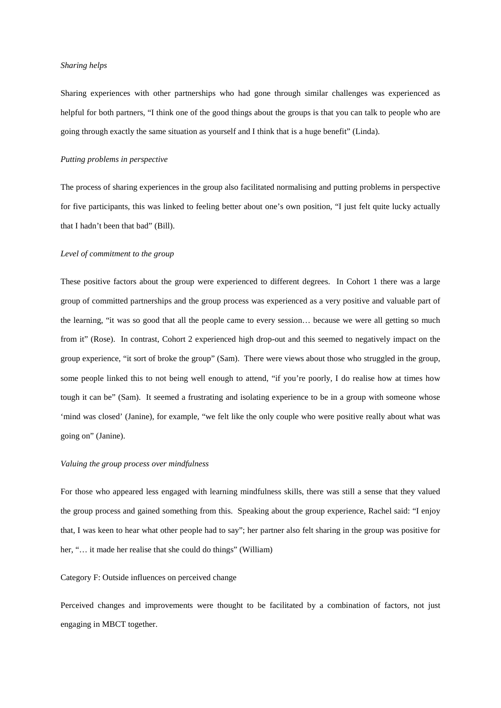#### *Sharing helps*

Sharing experiences with other partnerships who had gone through similar challenges was experienced as helpful for both partners, "I think one of the good things about the groups is that you can talk to people who are going through exactly the same situation as yourself and I think that is a huge benefit" (Linda).

#### *Putting problems in perspective*

The process of sharing experiences in the group also facilitated normalising and putting problems in perspective for five participants, this was linked to feeling better about one's own position, "I just felt quite lucky actually that I hadn't been that bad" (Bill).

#### *Level of commitment to the group*

These positive factors about the group were experienced to different degrees. In Cohort 1 there was a large group of committed partnerships and the group process was experienced as a very positive and valuable part of the learning, "it was so good that all the people came to every session… because we were all getting so much from it" (Rose). In contrast, Cohort 2 experienced high drop-out and this seemed to negatively impact on the group experience, "it sort of broke the group" (Sam). There were views about those who struggled in the group, some people linked this to not being well enough to attend, "if you're poorly, I do realise how at times how tough it can be" (Sam). It seemed a frustrating and isolating experience to be in a group with someone whose 'mind was closed' (Janine), for example, "we felt like the only couple who were positive really about what was going on" (Janine).

#### *Valuing the group process over mindfulness*

For those who appeared less engaged with learning mindfulness skills, there was still a sense that they valued the group process and gained something from this. Speaking about the group experience, Rachel said: "I enjoy that, I was keen to hear what other people had to say"; her partner also felt sharing in the group was positive for her, "... it made her realise that she could do things" (William)

# Category F: Outside influences on perceived change

Perceived changes and improvements were thought to be facilitated by a combination of factors, not just engaging in MBCT together.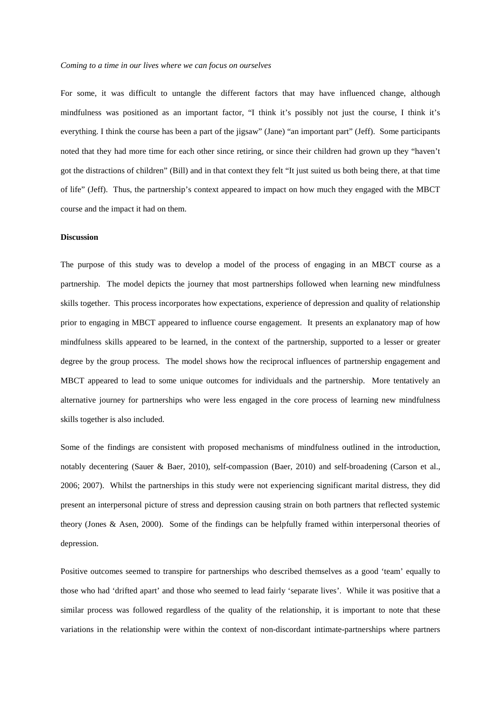For some, it was difficult to untangle the different factors that may have influenced change, although mindfulness was positioned as an important factor, "I think it's possibly not just the course, I think it's everything. I think the course has been a part of the jigsaw" (Jane) "an important part" (Jeff). Some participants noted that they had more time for each other since retiring, or since their children had grown up they "haven't got the distractions of children" (Bill) and in that context they felt "It just suited us both being there, at that time of life" (Jeff). Thus, the partnership's context appeared to impact on how much they engaged with the MBCT course and the impact it had on them.

## **Discussion**

The purpose of this study was to develop a model of the process of engaging in an MBCT course as a partnership. The model depicts the journey that most partnerships followed when learning new mindfulness skills together. This process incorporates how expectations, experience of depression and quality of relationship prior to engaging in MBCT appeared to influence course engagement. It presents an explanatory map of how mindfulness skills appeared to be learned, in the context of the partnership, supported to a lesser or greater degree by the group process. The model shows how the reciprocal influences of partnership engagement and MBCT appeared to lead to some unique outcomes for individuals and the partnership. More tentatively an alternative journey for partnerships who were less engaged in the core process of learning new mindfulness skills together is also included.

Some of the findings are consistent with proposed mechanisms of mindfulness outlined in the introduction, notably decentering (Sauer & Baer, 2010), self-compassion (Baer, 2010) and self-broadening (Carson et al., 2006; 2007). Whilst the partnerships in this study were not experiencing significant marital distress, they did present an interpersonal picture of stress and depression causing strain on both partners that reflected systemic theory (Jones & Asen, 2000). Some of the findings can be helpfully framed within interpersonal theories of depression.

Positive outcomes seemed to transpire for partnerships who described themselves as a good 'team' equally to those who had 'drifted apart' and those who seemed to lead fairly 'separate lives'. While it was positive that a similar process was followed regardless of the quality of the relationship, it is important to note that these variations in the relationship were within the context of non-discordant intimate-partnerships where partners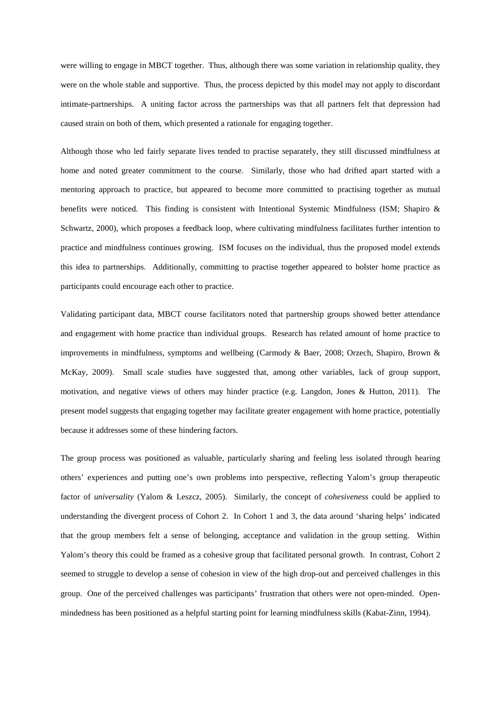were willing to engage in MBCT together. Thus, although there was some variation in relationship quality, they were on the whole stable and supportive. Thus, the process depicted by this model may not apply to discordant intimate-partnerships. A uniting factor across the partnerships was that all partners felt that depression had caused strain on both of them, which presented a rationale for engaging together.

Although those who led fairly separate lives tended to practise separately, they still discussed mindfulness at home and noted greater commitment to the course. Similarly, those who had drifted apart started with a mentoring approach to practice, but appeared to become more committed to practising together as mutual benefits were noticed. This finding is consistent with Intentional Systemic Mindfulness (ISM; Shapiro & Schwartz, 2000), which proposes a feedback loop, where cultivating mindfulness facilitates further intention to practice and mindfulness continues growing. ISM focuses on the individual, thus the proposed model extends this idea to partnerships. Additionally, committing to practise together appeared to bolster home practice as participants could encourage each other to practice.

Validating participant data, MBCT course facilitators noted that partnership groups showed better attendance and engagement with home practice than individual groups. Research has related amount of home practice to improvements in mindfulness, symptoms and wellbeing (Carmody & Baer, 2008; Orzech, Shapiro, Brown & McKay, 2009). Small scale studies have suggested that, among other variables, lack of group support, motivation, and negative views of others may hinder practice (e.g. Langdon, Jones & Hutton, 2011). The present model suggests that engaging together may facilitate greater engagement with home practice, potentially because it addresses some of these hindering factors.

The group process was positioned as valuable, particularly sharing and feeling less isolated through hearing others' experiences and putting one's own problems into perspective, reflecting Yalom's group therapeutic factor of *universality* (Yalom & Leszcz, 2005). Similarly, the concept of *cohesiveness* could be applied to understanding the divergent process of Cohort 2. In Cohort 1 and 3, the data around 'sharing helps' indicated that the group members felt a sense of belonging, acceptance and validation in the group setting. Within Yalom's theory this could be framed as a cohesive group that facilitated personal growth. In contrast, Cohort 2 seemed to struggle to develop a sense of cohesion in view of the high drop-out and perceived challenges in this group. One of the perceived challenges was participants' frustration that others were not open-minded. Openmindedness has been positioned as a helpful starting point for learning mindfulness skills (Kabat-Zinn, 1994).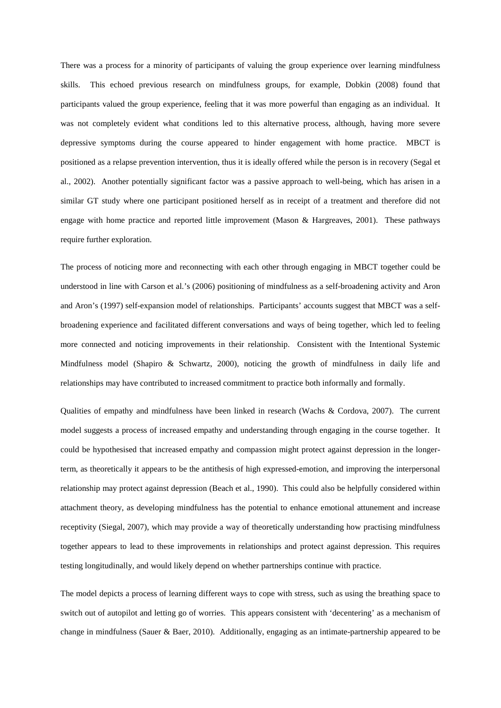There was a process for a minority of participants of valuing the group experience over learning mindfulness skills. This echoed previous research on mindfulness groups, for example, Dobkin (2008) found that participants valued the group experience, feeling that it was more powerful than engaging as an individual. It was not completely evident what conditions led to this alternative process, although, having more severe depressive symptoms during the course appeared to hinder engagement with home practice. MBCT is positioned as a relapse prevention intervention, thus it is ideally offered while the person is in recovery (Segal et al., 2002). Another potentially significant factor was a passive approach to well-being, which has arisen in a similar GT study where one participant positioned herself as in receipt of a treatment and therefore did not engage with home practice and reported little improvement (Mason & Hargreaves, 2001). These pathways require further exploration.

The process of noticing more and reconnecting with each other through engaging in MBCT together could be understood in line with Carson et al.'s (2006) positioning of mindfulness as a self-broadening activity and Aron and Aron's (1997) self-expansion model of relationships. Participants' accounts suggest that MBCT was a selfbroadening experience and facilitated different conversations and ways of being together, which led to feeling more connected and noticing improvements in their relationship. Consistent with the Intentional Systemic Mindfulness model (Shapiro & Schwartz, 2000), noticing the growth of mindfulness in daily life and relationships may have contributed to increased commitment to practice both informally and formally.

Qualities of empathy and mindfulness have been linked in research (Wachs & Cordova, 2007). The current model suggests a process of increased empathy and understanding through engaging in the course together. It could be hypothesised that increased empathy and compassion might protect against depression in the longerterm, as theoretically it appears to be the antithesis of high expressed-emotion, and improving the interpersonal relationship may protect against depression (Beach et al., 1990). This could also be helpfully considered within attachment theory, as developing mindfulness has the potential to enhance emotional attunement and increase receptivity (Siegal, 2007), which may provide a way of theoretically understanding how practising mindfulness together appears to lead to these improvements in relationships and protect against depression. This requires testing longitudinally, and would likely depend on whether partnerships continue with practice.

The model depicts a process of learning different ways to cope with stress, such as using the breathing space to switch out of autopilot and letting go of worries. This appears consistent with 'decentering' as a mechanism of change in mindfulness (Sauer & Baer, 2010). Additionally, engaging as an intimate-partnership appeared to be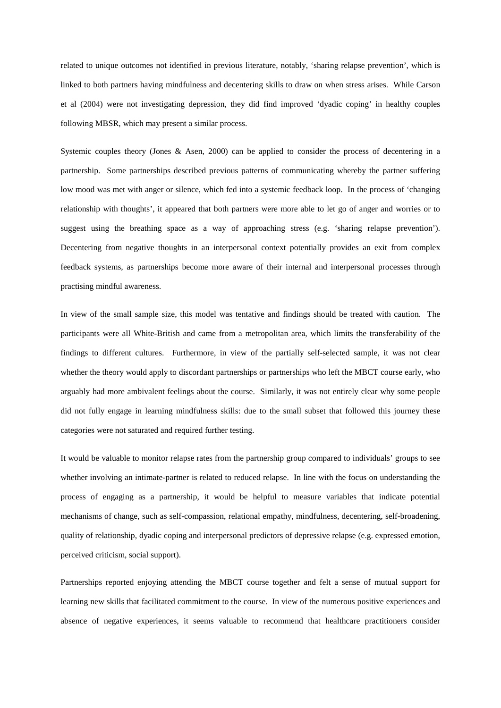related to unique outcomes not identified in previous literature, notably, 'sharing relapse prevention', which is linked to both partners having mindfulness and decentering skills to draw on when stress arises. While Carson et al (2004) were not investigating depression, they did find improved 'dyadic coping' in healthy couples following MBSR, which may present a similar process.

Systemic couples theory (Jones & Asen, 2000) can be applied to consider the process of decentering in a partnership. Some partnerships described previous patterns of communicating whereby the partner suffering low mood was met with anger or silence, which fed into a systemic feedback loop. In the process of 'changing relationship with thoughts', it appeared that both partners were more able to let go of anger and worries or to suggest using the breathing space as a way of approaching stress (e.g. 'sharing relapse prevention'). Decentering from negative thoughts in an interpersonal context potentially provides an exit from complex feedback systems, as partnerships become more aware of their internal and interpersonal processes through practising mindful awareness.

In view of the small sample size, this model was tentative and findings should be treated with caution. The participants were all White-British and came from a metropolitan area, which limits the transferability of the findings to different cultures. Furthermore, in view of the partially self-selected sample, it was not clear whether the theory would apply to discordant partnerships or partnerships who left the MBCT course early, who arguably had more ambivalent feelings about the course. Similarly, it was not entirely clear why some people did not fully engage in learning mindfulness skills: due to the small subset that followed this journey these categories were not saturated and required further testing.

It would be valuable to monitor relapse rates from the partnership group compared to individuals' groups to see whether involving an intimate-partner is related to reduced relapse. In line with the focus on understanding the process of engaging as a partnership, it would be helpful to measure variables that indicate potential mechanisms of change, such as self-compassion, relational empathy, mindfulness, decentering, self-broadening, quality of relationship, dyadic coping and interpersonal predictors of depressive relapse (e.g. expressed emotion, perceived criticism, social support).

Partnerships reported enjoying attending the MBCT course together and felt a sense of mutual support for learning new skills that facilitated commitment to the course. In view of the numerous positive experiences and absence of negative experiences, it seems valuable to recommend that healthcare practitioners consider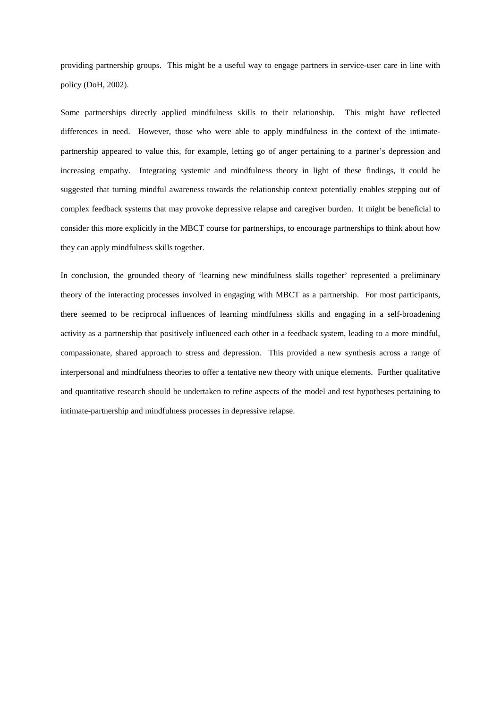providing partnership groups. This might be a useful way to engage partners in service-user care in line with policy (DoH, 2002).

Some partnerships directly applied mindfulness skills to their relationship. This might have reflected differences in need. However, those who were able to apply mindfulness in the context of the intimatepartnership appeared to value this, for example, letting go of anger pertaining to a partner's depression and increasing empathy. Integrating systemic and mindfulness theory in light of these findings, it could be suggested that turning mindful awareness towards the relationship context potentially enables stepping out of complex feedback systems that may provoke depressive relapse and caregiver burden. It might be beneficial to consider this more explicitly in the MBCT course for partnerships, to encourage partnerships to think about how they can apply mindfulness skills together.

In conclusion, the grounded theory of 'learning new mindfulness skills together' represented a preliminary theory of the interacting processes involved in engaging with MBCT as a partnership. For most participants, there seemed to be reciprocal influences of learning mindfulness skills and engaging in a self-broadening activity as a partnership that positively influenced each other in a feedback system, leading to a more mindful, compassionate, shared approach to stress and depression. This provided a new synthesis across a range of interpersonal and mindfulness theories to offer a tentative new theory with unique elements. Further qualitative and quantitative research should be undertaken to refine aspects of the model and test hypotheses pertaining to intimate-partnership and mindfulness processes in depressive relapse.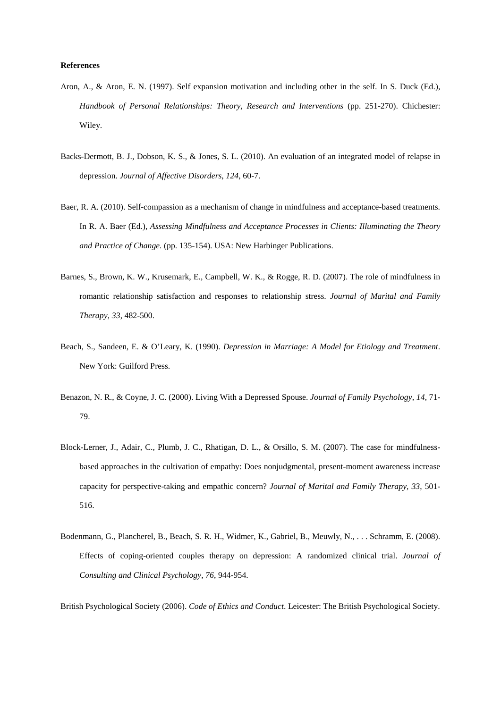### **References**

- Aron, A., & Aron, E. N. (1997). Self expansion motivation and including other in the self. In S. Duck (Ed.), *Handbook of Personal Relationships: Theory, Research and Interventions* (pp. 251-270). Chichester: Wiley.
- Backs-Dermott, B. J., Dobson, K. S., & Jones, S. L. (2010). An evaluation of an integrated model of relapse in depression. *Journal of Affective Disorders*, *124*, 60-7.
- Baer, R. A. (2010). Self-compassion as a mechanism of change in mindfulness and acceptance-based treatments. In R. A. Baer (Ed.), *Assessing Mindfulness and Acceptance Processes in Clients: Illuminating the Theory and Practice of Change.* (pp. 135-154). USA: New Harbinger Publications.
- Barnes, S., Brown, K. W., Krusemark, E., Campbell, W. K., & Rogge, R. D. (2007). The role of mindfulness in romantic relationship satisfaction and responses to relationship stress. *Journal of Marital and Family Therapy, 33*, 482-500.
- Beach, S., Sandeen, E. & O'Leary, K. (1990). *Depression in Marriage: A Model for Etiology and Treatment*. New York: Guilford Press.
- Benazon, N. R., & Coyne, J. C. (2000). Living With a Depressed Spouse. *Journal of Family Psychology*, *14*, 71- 79.
- Block-Lerner, J., Adair, C., Plumb, J. C., Rhatigan, D. L., & Orsillo, S. M. (2007). The case for mindfulnessbased approaches in the cultivation of empathy: Does nonjudgmental, present-moment awareness increase capacity for perspective-taking and empathic concern? *Journal of Marital and Family Therapy, 33*, 501- 516.
- Bodenmann, G., Plancherel, B., Beach, S. R. H., Widmer, K., Gabriel, B., Meuwly, N., . . . Schramm, E. (2008). Effects of coping-oriented couples therapy on depression: A randomized clinical trial. *Journal of Consulting and Clinical Psychology, 76*, 944-954.

British Psychological Society (2006). *Code of Ethics and Conduct*. Leicester: The British Psychological Society.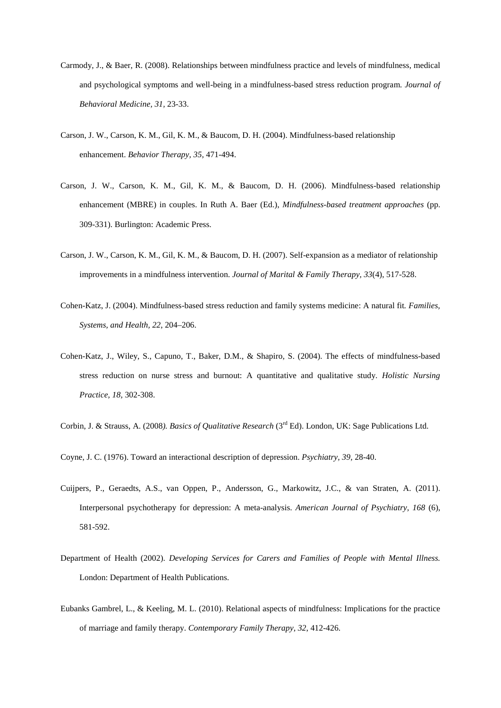- Carmody, J., & Baer, R. (2008). Relationships between mindfulness practice and levels of mindfulness, medical and psychological symptoms and well-being in a mindfulness-based stress reduction program. *Journal of Behavioral Medicine, 31,* 23-33.
- Carson, J. W., Carson, K. M., Gil, K. M., & Baucom, D. H. (2004). Mindfulness-based relationship enhancement. *Behavior Therapy, 35*, 471-494.
- Carson, J. W., Carson, K. M., Gil, K. M., & Baucom, D. H. (2006). Mindfulness-based relationship enhancement (MBRE) in couples. In Ruth A. Baer (Ed.), *Mindfulness-based treatment approaches* (pp. 309-331). Burlington: Academic Press.
- Carson, J. W., Carson, K. M., Gil, K. M., & Baucom, D. H. (2007). Self-expansion as a mediator of relationship improvements in a mindfulness intervention. *Journal of Marital & Family Therapy, 33*(4), 517-528.
- Cohen-Katz, J. (2004). Mindfulness-based stress reduction and family systems medicine: A natural fit*. Families, Systems, and Health, 22*, 204–206.
- Cohen-Katz, J., Wiley, S., Capuno, T., Baker, D.M., & Shapiro, S. (2004). The effects of mindfulness-based stress reduction on nurse stress and burnout: A quantitative and qualitative study. *Holistic Nursing Practice, 18,* 302-308.
- Corbin, J. & Strauss, A. (2008). *Basics of Qualitative Research* (3<sup>rd</sup> Ed). London, UK: Sage Publications Ltd.
- Coyne, J. C. (1976). Toward an interactional description of depression. *Psychiatry, 39,* 28-40.
- Cuijpers, P., Geraedts, A.S., van Oppen, P., Andersson, G., Markowitz, J.C., & van Straten, A. (2011). Interpersonal psychotherapy for depression: A meta-analysis. *American Journal of Psychiatry, 168* (6), 581-592.
- Department of Health (2002). *Developing Services for Carers and Families of People with Mental Illness.* London: Department of Health Publications.
- Eubanks Gambrel, L., & Keeling, M. L. (2010). Relational aspects of mindfulness: Implications for the practice of marriage and family therapy. *Contemporary Family Therapy, 32*, 412-426.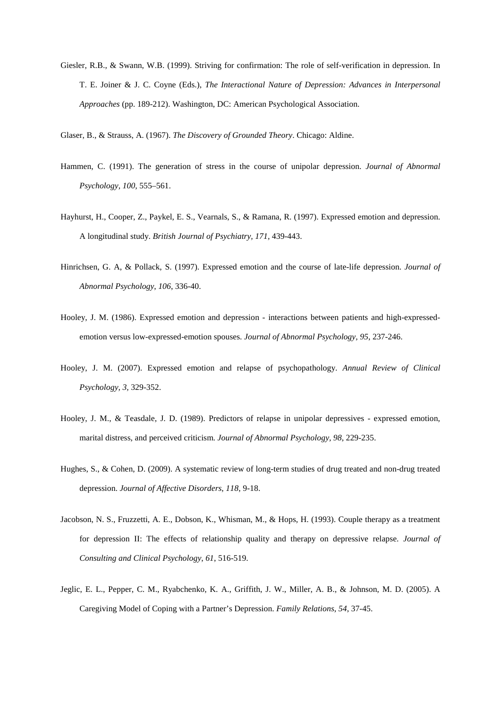Giesler, R.B., & Swann, W.B. (1999). Striving for confirmation: The role of self-verification in depression. In T. E. Joiner & J. C. Coyne (Eds.), *The Interactional Nature of Depression: Advances in Interpersonal Approaches* (pp. 189-212). Washington, DC: American Psychological Association.

Glaser, B., & Strauss, A. (1967). *The Discovery of Grounded Theory*. Chicago: Aldine.

- Hammen, C. (1991). The generation of stress in the course of unipolar depression. *Journal of Abnormal Psychology, 100,* 555–561.
- Hayhurst, H., Cooper, Z., Paykel, E. S., Vearnals, S., & Ramana, R. (1997). Expressed emotion and depression. A longitudinal study. *British Journal of Psychiatry, 171,* 439-443.
- Hinrichsen, G. A, & Pollack, S. (1997). Expressed emotion and the course of late-life depression. *Journal of Abnormal Psychology*, *106*, 336-40.
- Hooley, J. M. (1986). Expressed emotion and depression interactions between patients and high-expressedemotion versus low-expressed-emotion spouses. *Journal of Abnormal Psychology, 95*, 237-246.
- Hooley, J. M. (2007). Expressed emotion and relapse of psychopathology. *Annual Review of Clinical Psychology, 3,* 329-352.
- Hooley, J. M., & Teasdale, J. D. (1989). Predictors of relapse in unipolar depressives expressed emotion, marital distress, and perceived criticism. *Journal of Abnormal Psychology, 98*, 229-235.
- Hughes, S., & Cohen, D. (2009). A systematic review of long-term studies of drug treated and non-drug treated depression. *Journal of Affective Disorders*, *118*, 9-18.
- Jacobson, N. S., Fruzzetti, A. E., Dobson, K., Whisman, M., & Hops, H. (1993). Couple therapy as a treatment for depression II: The effects of relationship quality and therapy on depressive relapse. *Journal of Consulting and Clinical Psychology*, *61*, 516-519.
- Jeglic, E. L., Pepper, C. M., Ryabchenko, K. A., Griffith, J. W., Miller, A. B., & Johnson, M. D. (2005). A Caregiving Model of Coping with a Partner's Depression. *Family Relations*, *54*, 37-45.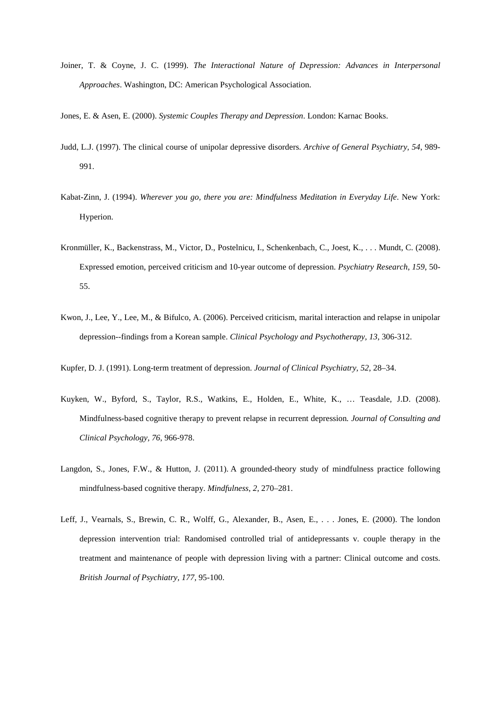Joiner, T. & Coyne, J. C. (1999). *The Interactional Nature of Depression: Advances in Interpersonal Approaches*. Washington, DC: American Psychological Association.

Jones, E. & Asen, E. (2000). *Systemic Couples Therapy and Depression*. London: Karnac Books.

- Judd, L.J. (1997). The clinical course of unipolar depressive disorders. *Archive of General Psychiatry, 54*, 989- 991.
- Kabat-Zinn, J. (1994). *Wherever you go, there you are: Mindfulness Meditation in Everyday Life*. New York: Hyperion.
- Kronmüller, K., Backenstrass, M., Victor, D., Postelnicu, I., Schenkenbach, C., Joest, K., . . . Mundt, C. (2008). Expressed emotion, perceived criticism and 10-year outcome of depression. *Psychiatry Research*, *159*, 50- 55.
- Kwon, J., Lee, Y., Lee, M., & Bifulco, A. (2006). Perceived criticism, marital interaction and relapse in unipolar depression--findings from a Korean sample. *Clinical Psychology and Psychotherapy, 13*, 306-312.
- Kupfer, D. J. (1991). Long-term treatment of depression. *Journal of Clinical Psychiatry, 52*, 28–34.
- Kuyken, W., Byford, S., Taylor, R.S., Watkins, E., Holden, E., White, K., … Teasdale, J.D. (2008). Mindfulness-based cognitive therapy to prevent relapse in recurrent depression*. Journal of Consulting and Clinical Psychology, 76*, 966-978.
- Langdon, S., Jones, F.W., & Hutton, J. (2011). A grounded-theory study of mindfulness practice following mindfulness-based cognitive therapy. *Mindfulness*, *2*, 270–281.
- Leff, J., Vearnals, S., Brewin, C. R., Wolff, G., Alexander, B., Asen, E., . . . Jones, E. (2000). The london depression intervention trial: Randomised controlled trial of antidepressants v. couple therapy in the treatment and maintenance of people with depression living with a partner: Clinical outcome and costs. *British Journal of Psychiatry, 177*, 95-100.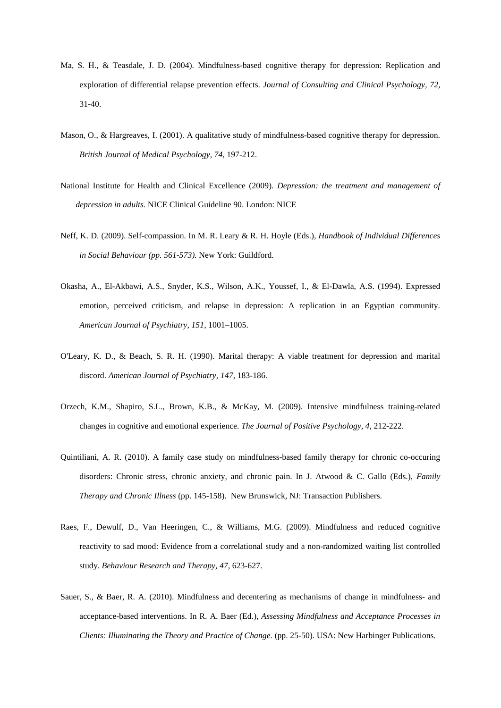- Ma, S. H., & Teasdale, J. D. (2004). Mindfulness-based cognitive therapy for depression: Replication and exploration of differential relapse prevention effects. *Journal of Consulting and Clinical Psychology, 72,* 31-40.
- Mason, O., & Hargreaves, I. (2001). A qualitative study of mindfulness-based cognitive therapy for depression. *British Journal of Medical Psychology, 74*, 197-212.
- National Institute for Health and Clinical Excellence (2009). *Depression: the treatment and management of depression in adults.* NICE Clinical Guideline 90. London: NICE
- Neff, K. D. (2009). Self-compassion. In M. R. Leary & R. H. Hoyle (Eds.), *Handbook of Individual Differences in Social Behaviour (pp. 561-573).* New York: Guildford.
- Okasha, A., El-Akbawi, A.S., Snyder, K.S., Wilson, A.K., Youssef, I., & El-Dawla, A.S. (1994). Expressed emotion, perceived criticism, and relapse in depression: A replication in an Egyptian community. *American Journal of Psychiatry*, *151*, 1001–1005.
- O'Leary, K. D., & Beach, S. R. H. (1990). Marital therapy: A viable treatment for depression and marital discord. *American Journal of Psychiatry, 147*, 183-186.
- Orzech, K.M., Shapiro, S.L., Brown, K.B., & McKay, M. (2009). Intensive mindfulness training-related changes in cognitive and emotional experience. *The Journal of Positive Psychology, 4*, 212-222.
- Quintiliani, A. R. (2010). A family case study on mindfulness-based family therapy for chronic co-occuring disorders: Chronic stress, chronic anxiety, and chronic pain. In J. Atwood & C. Gallo (Eds.), *Family Therapy and Chronic Illness* (pp. 145-158). New Brunswick, NJ: Transaction Publishers.
- Raes, F., Dewulf, D., Van Heeringen, C., & Williams, M.G. (2009). Mindfulness and reduced cognitive reactivity to sad mood: Evidence from a correlational study and a non-randomized waiting list controlled study. *Behaviour Research and Therapy, 47,* 623-627.
- Sauer, S., & Baer, R. A. (2010). Mindfulness and decentering as mechanisms of change in mindfulness- and acceptance-based interventions. In R. A. Baer (Ed.), *Assessing Mindfulness and Acceptance Processes in Clients: Illuminating the Theory and Practice of Change.* (pp. 25-50). USA: New Harbinger Publications.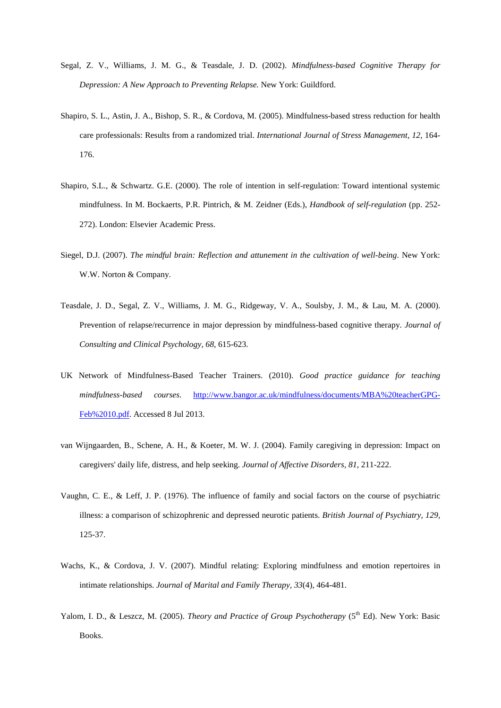- Segal, Z. V., Williams, J. M. G., & Teasdale, J. D. (2002). *Mindfulness-based Cognitive Therapy for Depression: A New Approach to Preventing Relapse.* New York: Guildford.
- Shapiro, S. L., Astin, J. A., Bishop, S. R., & Cordova, M. (2005). Mindfulness-based stress reduction for health care professionals: Results from a randomized trial. *International Journal of Stress Management, 12,* 164- 176.
- Shapiro, S.L., & Schwartz. G.E. (2000). The role of intention in self-regulation: Toward intentional systemic mindfulness. In M. Bockaerts, P.R. Pintrich, & M. Zeidner (Eds.), *Handbook of self-regulation* (pp. 252- 272). London: Elsevier Academic Press.
- Siegel, D.J. (2007). *The mindful brain: Reflection and attunement in the cultivation of well-being*. New York: W.W. Norton & Company.
- Teasdale, J. D., Segal, Z. V., Williams, J. M. G., Ridgeway, V. A., Soulsby, J. M., & Lau, M. A. (2000). Prevention of relapse/recurrence in major depression by mindfulness-based cognitive therapy. *Journal of Consulting and Clinical Psychology, 68*, 615-623.
- UK Network of Mindfulness-Based Teacher Trainers. (2010). *Good practice guidance for teaching mindfulness-based courses*. [http://www.bangor.ac.uk/mindfulness/documents/MBA%20teacherGPG-](http://www.bangor.ac.uk/mindfulness/documents/MBA%20teacherGPG-Feb%2010.pdf)[Feb%2010.pdf.](http://www.bangor.ac.uk/mindfulness/documents/MBA%20teacherGPG-Feb%2010.pdf) Accessed 8 Jul 2013.
- van Wijngaarden, B., Schene, A. H., & Koeter, M. W. J. (2004). Family caregiving in depression: Impact on caregivers' daily life, distress, and help seeking. *Journal of Affective Disorders, 81*, 211-222.
- Vaughn, C. E., & Leff, J. P. (1976). The influence of family and social factors on the course of psychiatric illness: a comparison of schizophrenic and depressed neurotic patients. *British Journal of Psychiatry, 129,*  125-37.
- Wachs, K., & Cordova, J. V. (2007). Mindful relating: Exploring mindfulness and emotion repertoires in intimate relationships. *Journal of Marital and Family Therapy, 33*(4), 464-481.
- Yalom, I. D., & Leszcz, M. (2005). *Theory and Practice of Group Psychotherapy* (5<sup>th</sup> Ed). New York: Basic Books.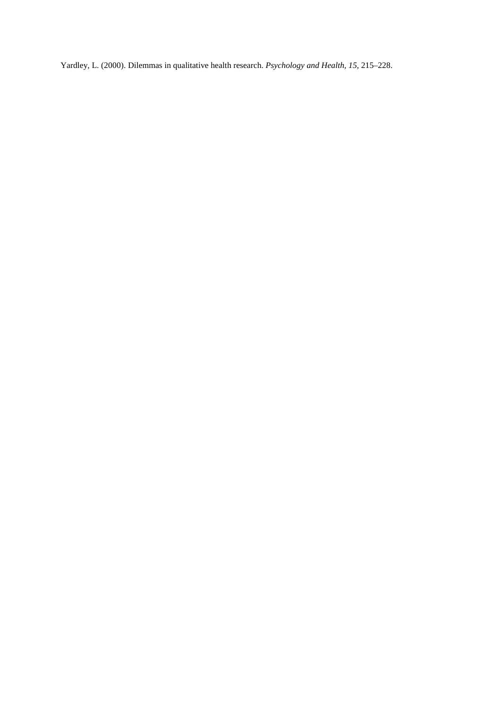Yardley, L. (2000). Dilemmas in qualitative health research. *Psychology and Health, 15,* 215–228.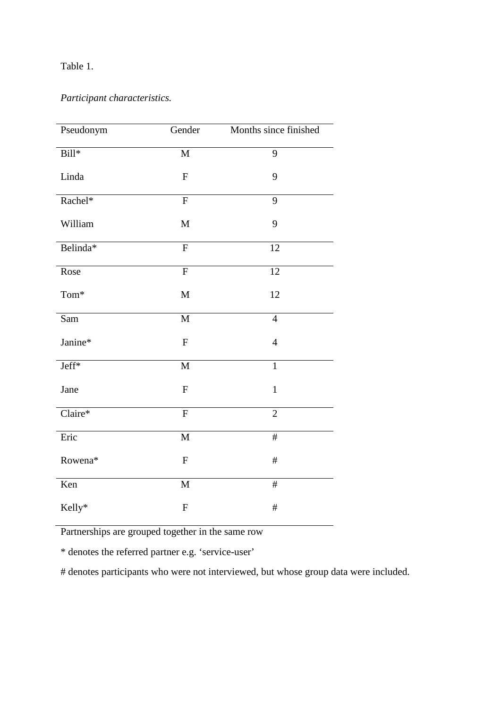# Table 1.

# *Participant characteristics.*

| Pseudonym        | Gender         | Months since finished |
|------------------|----------------|-----------------------|
| $Bill*$          | $\mathbf{M}$   | 9                     |
| Linda            | ${\bf F}$      | 9                     |
| Rachel*          | ${\bf F}$      | 9                     |
| William          | M              | 9                     |
| Belinda*         | $\overline{F}$ | 12                    |
| Rose             | $\overline{F}$ | 12                    |
| $\mathrm{Tom}^*$ | $\mathbf M$    | 12                    |
| Sam              | $\mathbf M$    | $\overline{4}$        |
| Janine*          | ${\bf F}$      | $\overline{4}$        |
| Jeff*            | $\mathbf M$    | $\overline{1}$        |
| Jane             | ${\bf F}$      | $\mathbf{1}$          |
| $Claire*$        | ${\bf F}$      | $\overline{2}$        |
| Eric             | $\mathbf M$    | $\#$                  |
| Rowena*          | ${\bf F}$      | $\#$                  |
| Ken              | M              | $\#$                  |
| Kelly*           | ${\bf F}$      | $\#$                  |

Partnerships are grouped together in the same row

\* denotes the referred partner e.g. 'service-user'

# denotes participants who were not interviewed, but whose group data were included.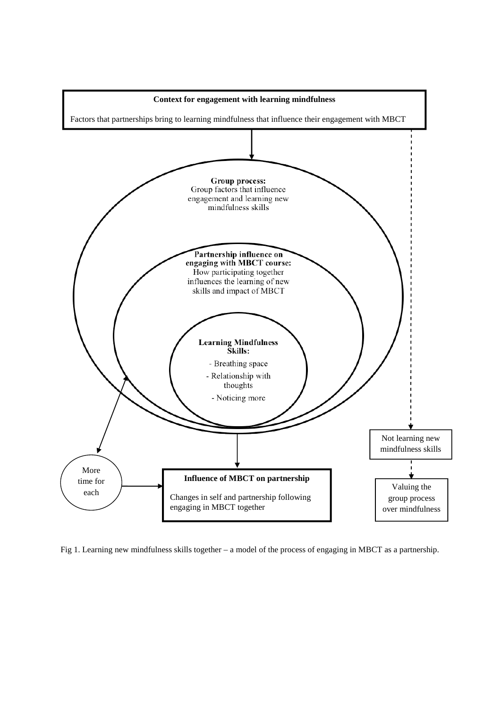

Fig 1. Learning new mindfulness skills together – a model of the process of engaging in MBCT as a partnership.